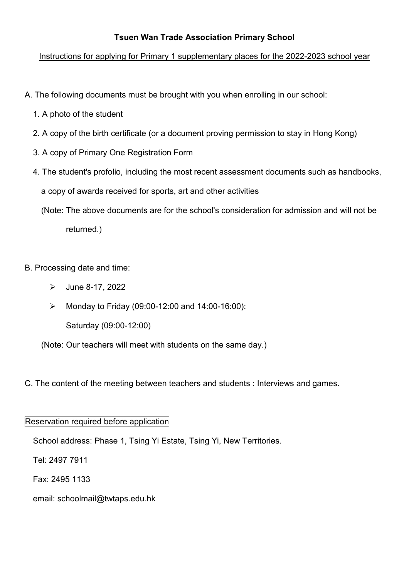## **Tsuen Wan Trade Association Primary School**

## Instructions for applying for Primary 1 supplementary places for the 2022-2023 school year

- A. The following documents must be brought with you when enrolling in our school:
	- 1. A photo of the student
	- 2. A copy of the birth certificate (or a document proving permission to stay in Hong Kong)
	- 3. A copy of Primary One Registration Form
	- 4. The student's profolio, including the most recent assessment documents such as handbooks, a copy of awards received for sports, art and other activities
		- (Note: The above documents are for the school's consideration for admission and will not be returned.)
- B. Processing date and time:
	- $\blacktriangleright$  June 8-17, 2022
	- $\triangleright$  Monday to Friday (09:00-12:00 and 14:00-16:00);

Saturday (09:00-12:00)

(Note: Our teachers will meet with students on the same day.)

C. The content of the meeting between teachers and students : Interviews and games.

## Reservation required before application

School address: Phase 1, Tsing Yi Estate, Tsing Yi, New Territories.

Tel: 2497 7911

Fax: 2495 1133

email: schoolmail@twtaps.edu.hk